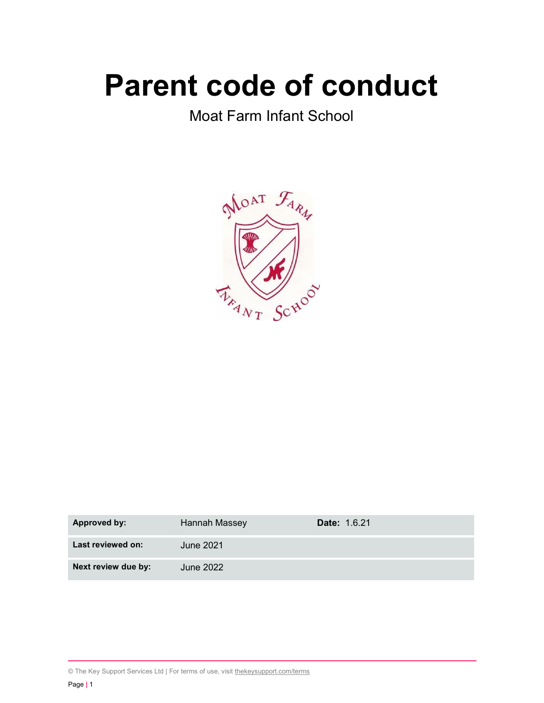# Parent code of conduct

Moat Farm Infant School



| <b>Approved by:</b> | Hannah Massey | <b>Date: 1.6.21</b> |
|---------------------|---------------|---------------------|
| Last reviewed on:   | June 2021     |                     |
| Next review due by: | June 2022     |                     |

<sup>©</sup> The Key Support Services Ltd | For terms of use, visit thekeysupport.com/terms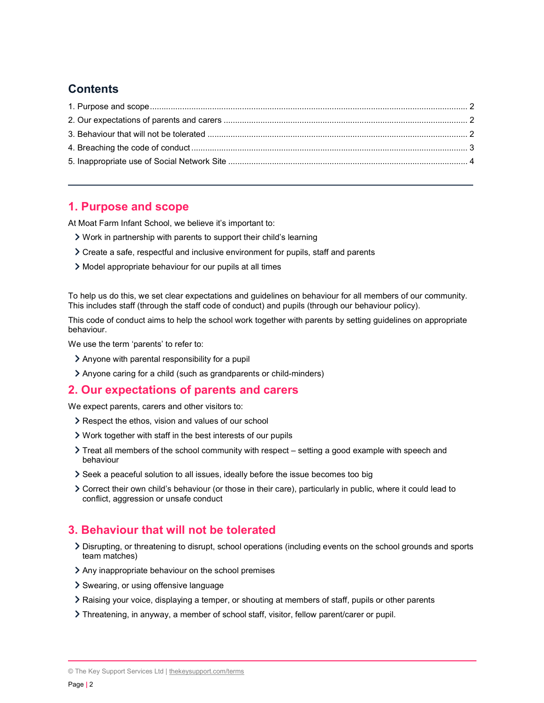## **Contents**

## 1. Purpose and scope

At Moat Farm Infant School, we believe it's important to:

- Work in partnership with parents to support their child's learning
- Create a safe, respectful and inclusive environment for pupils, staff and parents
- Model appropriate behaviour for our pupils at all times

To help us do this, we set clear expectations and guidelines on behaviour for all members of our community. This includes staff (through the staff code of conduct) and pupils (through our behaviour policy).

This code of conduct aims to help the school work together with parents by setting guidelines on appropriate behaviour.

We use the term 'parents' to refer to:

- Anyone with parental responsibility for a pupil
- Anyone caring for a child (such as grandparents or child-minders)

### 2. Our expectations of parents and carers

We expect parents, carers and other visitors to:

- Respect the ethos, vision and values of our school
- Work together with staff in the best interests of our pupils
- $\ge$  Treat all members of the school community with respect setting a good example with speech and behaviour
- Seek a peaceful solution to all issues, ideally before the issue becomes too big
- Correct their own child's behaviour (or those in their care), particularly in public, where it could lead to conflict, aggression or unsafe conduct

## 3. Behaviour that will not be tolerated

- Disrupting, or threatening to disrupt, school operations (including events on the school grounds and sports team matches)
- Any inappropriate behaviour on the school premises
- Swearing, or using offensive language
- Raising your voice, displaying a temper, or shouting at members of staff, pupils or other parents
- Threatening, in anyway, a member of school staff, visitor, fellow parent/carer or pupil.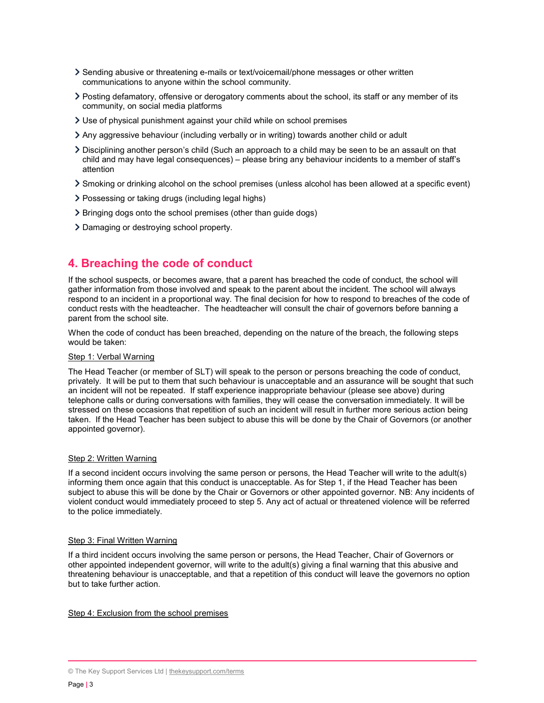- Sending abusive or threatening e-mails or text/voicemail/phone messages or other written communications to anyone within the school community.
- Posting defamatory, offensive or derogatory comments about the school, its staff or any member of its community, on social media platforms
- Use of physical punishment against your child while on school premises
- Any aggressive behaviour (including verbally or in writing) towards another child or adult
- Disciplining another person's child (Such an approach to a child may be seen to be an assault on that child and may have legal consequences) – please bring any behaviour incidents to a member of staff's attention
- Smoking or drinking alcohol on the school premises (unless alcohol has been allowed at a specific event)
- Possessing or taking drugs (including legal highs)
- Bringing dogs onto the school premises (other than guide dogs)
- Damaging or destroying school property.

## 4. Breaching the code of conduct

If the school suspects, or becomes aware, that a parent has breached the code of conduct, the school will gather information from those involved and speak to the parent about the incident. The school will always respond to an incident in a proportional way. The final decision for how to respond to breaches of the code of conduct rests with the headteacher. The headteacher will consult the chair of governors before banning a parent from the school site.

When the code of conduct has been breached, depending on the nature of the breach, the following steps would be taken:

#### Step 1: Verbal Warning

The Head Teacher (or member of SLT) will speak to the person or persons breaching the code of conduct, privately. It will be put to them that such behaviour is unacceptable and an assurance will be sought that such an incident will not be repeated. If staff experience inappropriate behaviour (please see above) during telephone calls or during conversations with families, they will cease the conversation immediately. It will be stressed on these occasions that repetition of such an incident will result in further more serious action being taken. If the Head Teacher has been subject to abuse this will be done by the Chair of Governors (or another appointed governor).

#### Step 2: Written Warning

If a second incident occurs involving the same person or persons, the Head Teacher will write to the adult(s) informing them once again that this conduct is unacceptable. As for Step 1, if the Head Teacher has been subject to abuse this will be done by the Chair or Governors or other appointed governor. NB: Any incidents of violent conduct would immediately proceed to step 5. Any act of actual or threatened violence will be referred to the police immediately.

#### Step 3: Final Written Warning

If a third incident occurs involving the same person or persons, the Head Teacher, Chair of Governors or other appointed independent governor, will write to the adult(s) giving a final warning that this abusive and threatening behaviour is unacceptable, and that a repetition of this conduct will leave the governors no option but to take further action.

#### Step 4: Exclusion from the school premises